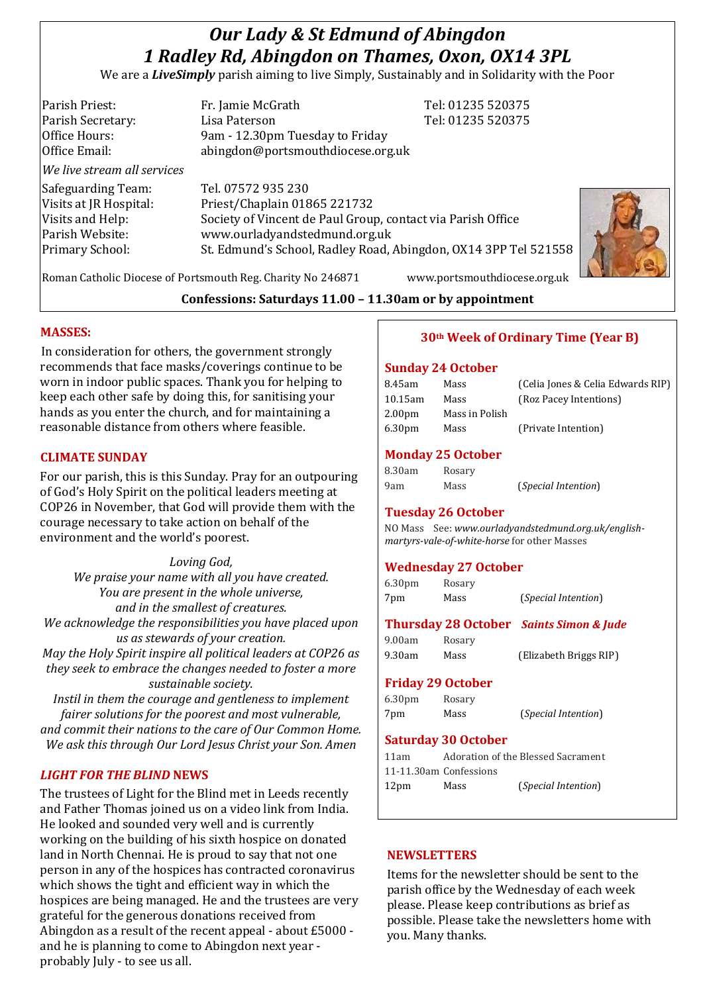# *Our Lady & St Edmund of Abingdon 1 Radley Rd, Abingdon on Thames, Oxon, OX14 3PL*

We are a *LiveSimply* parish aiming to live Simply, Sustainably and in Solidarity with the Poor

Parish Priest: Fr. Jamie McGrath Tel: 01235 520375 Parish Secretary: Tel: 01235 520375 Office Hours: 9am - 12.30pm Tuesday to Friday Office Email: abingdon@portsmouthdiocese.org.uk *We live stream all services* Safeguarding Team: Tel. 07572 935 230 Visits at JR Hospital: Priest/Chaplain 01865 221732 Visits and Help: Society of Vincent de Paul Group, contact via Parish Office Parish Website: www.ourladyandstedmund.org.uk Primary School: St. Edmund's School, Radley Road, Abingdon, OX14 3PP Tel 521558



Roman Catholic Diocese of Portsmouth Reg. Charity No 246871 www.portsmouthdiocese.org.uk

**Confessions: Saturdays 11.00 – 11.30am or by appointment**

### **MASSES:**

In consideration for others, the government strongly recommends that face masks/coverings continue to be worn in indoor public spaces. Thank you for helping to keep each other safe by doing this, for sanitising your hands as you enter the church, and for maintaining a reasonable distance from others where feasible.

### **CLIMATE SUNDAY**

For our parish, this is this Sunday. Pray for an outpouring of God's Holy Spirit on the political leaders meeting at COP26 in November, that God will provide them with the courage necessary to take action on behalf of the environment and the world's poorest.

*Loving God, We praise your name with all you have created. You are present in the whole universe, and in the smallest of creatures. We acknowledge the responsibilities you have placed upon us as stewards of your creation. May the Holy Spirit inspire all political leaders at COP26 as they seek to embrace the changes needed to foster a more sustainable society.*

*Instil in them the courage and gentleness to implement fairer solutions for the poorest and most vulnerable, and commit their nations to the care of Our Common Home. We ask this through Our Lord Jesus Christ your Son. Amen*

### *LIGHT FOR THE BLIND* **NEWS**

The trustees of Light for the Blind met in Leeds recently and Father Thomas joined us on a video link from India. He looked and sounded very well and is currently working on the building of his sixth hospice on donated land in North Chennai. He is proud to say that not one person in any of the hospices has contracted coronavirus which shows the tight and efficient way in which the hospices are being managed. He and the trustees are very grateful for the generous donations received from Abingdon as a result of the recent appeal - about £5000 and he is planning to come to Abingdon next year probably July - to see us all.

# **30th Week of Ordinary Time (Year B)**

#### **Sunday 24 October**

| Mass           | (Celia Jones & Celia Edwards RIP) |
|----------------|-----------------------------------|
| Mass           | (Roz Pacey Intentions)            |
| Mass in Polish |                                   |
| Mass           | (Private Intention)               |
|                |                                   |

(*Special Intention*)

### **Monday 25 October**

| 8.30am | Rosary |
|--------|--------|
| 9am    | Mass   |

# **Tuesday 26 October**

NO Mass See: *www.ourladyandstedmund.org.uk/englishmartyrs-vale-of-white-horse* for other Masses

### **Wednesday 27 October**

| 6.30 <sub>pm</sub> | Rosary |                              |
|--------------------|--------|------------------------------|
| 7pm                | Mass   | ( <i>Special Intention</i> ) |

# **Thursday 28 October** *Saints Simon & Jude*

9.00am Rosary 9.30am Mass (Elizabeth Briggs RIP)

# **Friday 29 October**

6.30pm Rosary 7pm Mass (*Special Intention*)

#### **Saturday 30 October**  11am Adoration of the Blessed Sacrament

| T Fam            |                        | Adoration of the Blessed Sacrament |
|------------------|------------------------|------------------------------------|
|                  | 11-11.30am Confessions |                                    |
| 12 <sub>pm</sub> | Mass                   | ( <i>Special Intention</i> )       |

#### **NEWSLETTERS**

Items for the newsletter should be sent to the parish office by the Wednesday of each week please. Please keep contributions as brief as possible. Please take the newsletters home with you. Many thanks.